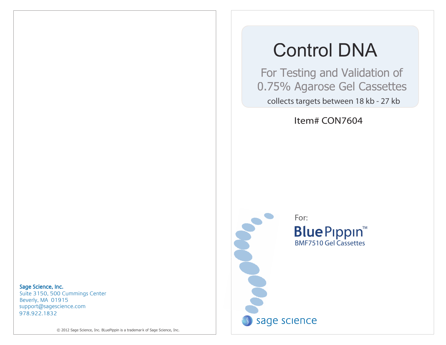# Control DNA

 For Testing and Validation of 0.75% Agarose Gel Cassettes collects targets between 18 kb - 27 kb

Item# CON7604

Sage Science, Inc.

978.922.1832 support@sagescience.com Suite 3150, 500 Cummings Center Beverly, MA 01915

© 2012 Sage Science, Inc. BLuePippin is a trademar k of Sage Science, Inc.